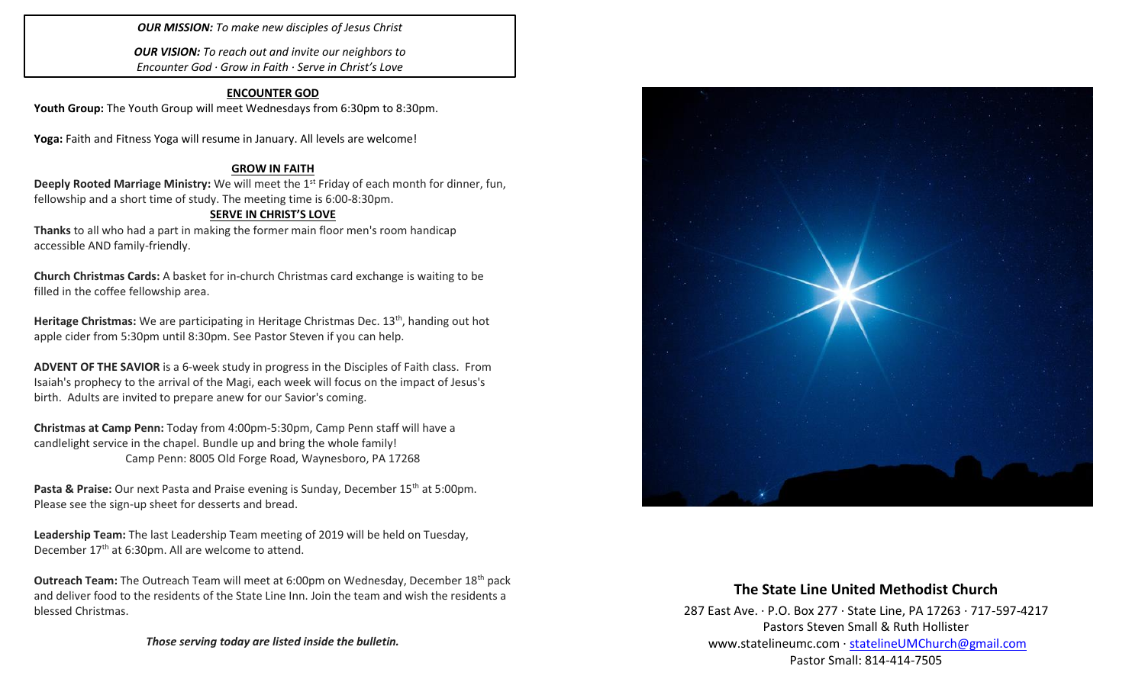#### *OUR MISSION: To make new disciples of Jesus Christ*

*OUR VISION: To reach out and invite our neighbors to Encounter God · Grow in Faith · Serve in Christ's Love*

### **ENCOUNTER GOD**

Youth Group: The Youth Group will meet Wednesdays from 6:30pm to 8:30pm.

**Yoga:** Faith and Fitness Yoga will resume in January. All levels are welcome!

#### **GROW IN FAITH**

**Deeply Rooted Marriage Ministry:** We will meet the 1<sup>st</sup> Friday of each month for dinner, fun, fellowship and a short time of study. The meeting time is 6:00-8:30pm.

## **SERVE IN CHRIST'S LOVE**

**Thanks** to all who had a part in making the former main floor men's room handicap accessible AND family-friendly.

**Church Christmas Cards:** A basket for in-church Christmas card exchange is waiting to be filled in the coffee fellowship area.

Heritage Christmas: We are participating in Heritage Christmas Dec. 13<sup>th</sup>, handing out hot apple cider from 5:30pm until 8:30pm. See Pastor Steven if you can help.

**ADVENT OF THE SAVIOR** is a 6-week study in progress in the Disciples of Faith class. From Isaiah's prophecy to the arrival of the Magi, each week will focus on the impact of Jesus's birth. Adults are invited to prepare anew for our Savior's coming.

**Christmas at Camp Penn:** Today from 4:00pm-5:30pm, Camp Penn staff will have a candlelight service in the chapel. Bundle up and bring the whole family! Camp Penn: 8005 Old Forge Road, Waynesboro, PA 17268

**Pasta & Praise:** Our next Pasta and Praise evening is Sunday, December 15<sup>th</sup> at 5:00pm. Please see the sign-up sheet for desserts and bread.

**Leadership Team:** The last Leadership Team meeting of 2019 will be held on Tuesday, December 17<sup>th</sup> at 6:30pm. All are welcome to attend.

**Outreach Team:** The Outreach Team will meet at 6:00pm on Wednesday, December 18th pack and deliver food to the residents of the State Line Inn. Join the team and wish the residents a blessed Christmas.

*Those serving today are listed inside the bulletin.*



## **The State Line United Methodist Church**

287 East Ave. · P.O. Box 277 · State Line, PA 17263 · 717-597-4217 Pastors Steven Small & Ruth Hollister [www.statelineumc.com](http://www.statelineumc.com/) · [statelineUMChurch@gmail.com](mailto:statelineUMChurch@gmail.com) Pastor Small: 814-414-7505